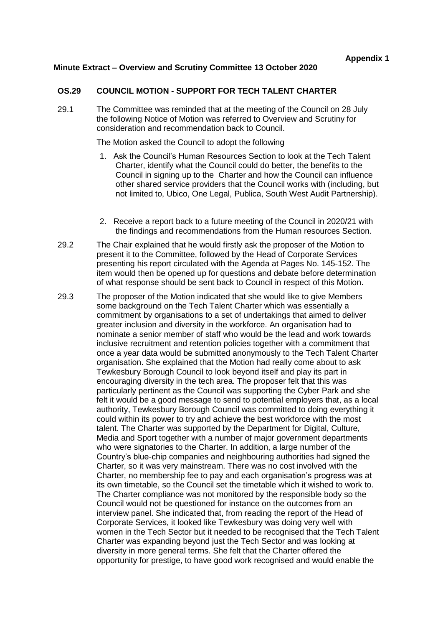## **Minute Extract – Overview and Scrutiny Committee 13 October 2020**

## **OS.29 COUNCIL MOTION - SUPPORT FOR TECH TALENT CHARTER**

29.1 The Committee was reminded that at the meeting of the Council on 28 July the following Notice of Motion was referred to Overview and Scrutiny for consideration and recommendation back to Council.

The Motion asked the Council to adopt the following

- 1. Ask the Council's Human Resources Section to look at the Tech Talent Charter, identify what the Council could do better, the benefits to the Council in signing up to the Charter and how the Council can influence other shared service providers that the Council works with (including, but not limited to, Ubico, One Legal, Publica, South West Audit Partnership).
- 2. Receive a report back to a future meeting of the Council in 2020/21 with the findings and recommendations from the Human resources Section.
- 29.2 The Chair explained that he would firstly ask the proposer of the Motion to present it to the Committee, followed by the Head of Corporate Services presenting his report circulated with the Agenda at Pages No. 145-152. The item would then be opened up for questions and debate before determination of what response should be sent back to Council in respect of this Motion.
- 29.3 The proposer of the Motion indicated that she would like to give Members some background on the Tech Talent Charter which was essentially a commitment by organisations to a set of undertakings that aimed to deliver greater inclusion and diversity in the workforce. An organisation had to nominate a senior member of staff who would be the lead and work towards inclusive recruitment and retention policies together with a commitment that once a year data would be submitted anonymously to the Tech Talent Charter organisation. She explained that the Motion had really come about to ask Tewkesbury Borough Council to look beyond itself and play its part in encouraging diversity in the tech area. The proposer felt that this was particularly pertinent as the Council was supporting the Cyber Park and she felt it would be a good message to send to potential employers that, as a local authority, Tewkesbury Borough Council was committed to doing everything it could within its power to try and achieve the best workforce with the most talent. The Charter was supported by the Department for Digital, Culture, Media and Sport together with a number of major government departments who were signatories to the Charter. In addition, a large number of the Country's blue-chip companies and neighbouring authorities had signed the Charter, so it was very mainstream. There was no cost involved with the Charter, no membership fee to pay and each organisation's progress was at its own timetable, so the Council set the timetable which it wished to work to. The Charter compliance was not monitored by the responsible body so the Council would not be questioned for instance on the outcomes from an interview panel. She indicated that, from reading the report of the Head of Corporate Services, it looked like Tewkesbury was doing very well with women in the Tech Sector but it needed to be recognised that the Tech Talent Charter was expanding beyond just the Tech Sector and was looking at diversity in more general terms. She felt that the Charter offered the opportunity for prestige, to have good work recognised and would enable the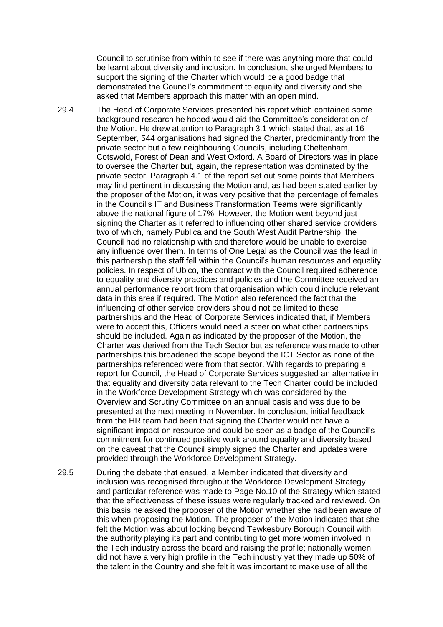Council to scrutinise from within to see if there was anything more that could be learnt about diversity and inclusion. In conclusion, she urged Members to support the signing of the Charter which would be a good badge that demonstrated the Council's commitment to equality and diversity and she asked that Members approach this matter with an open mind.

29.4 The Head of Corporate Services presented his report which contained some background research he hoped would aid the Committee's consideration of the Motion. He drew attention to Paragraph 3.1 which stated that, as at 16 September, 544 organisations had signed the Charter, predominantly from the private sector but a few neighbouring Councils, including Cheltenham, Cotswold, Forest of Dean and West Oxford. A Board of Directors was in place to oversee the Charter but, again, the representation was dominated by the private sector. Paragraph 4.1 of the report set out some points that Members may find pertinent in discussing the Motion and, as had been stated earlier by the proposer of the Motion, it was very positive that the percentage of females in the Council's IT and Business Transformation Teams were significantly above the national figure of 17%. However, the Motion went beyond just signing the Charter as it referred to influencing other shared service providers two of which, namely Publica and the South West Audit Partnership, the Council had no relationship with and therefore would be unable to exercise any influence over them. In terms of One Legal as the Council was the lead in this partnership the staff fell within the Council's human resources and equality policies. In respect of Ubico, the contract with the Council required adherence to equality and diversity practices and policies and the Committee received an annual performance report from that organisation which could include relevant data in this area if required. The Motion also referenced the fact that the influencing of other service providers should not be limited to these partnerships and the Head of Corporate Services indicated that, if Members were to accept this, Officers would need a steer on what other partnerships should be included. Again as indicated by the proposer of the Motion, the Charter was derived from the Tech Sector but as reference was made to other partnerships this broadened the scope beyond the ICT Sector as none of the partnerships referenced were from that sector. With regards to preparing a report for Council, the Head of Corporate Services suggested an alternative in that equality and diversity data relevant to the Tech Charter could be included in the Workforce Development Strategy which was considered by the Overview and Scrutiny Committee on an annual basis and was due to be presented at the next meeting in November. In conclusion, initial feedback from the HR team had been that signing the Charter would not have a significant impact on resource and could be seen as a badge of the Council's commitment for continued positive work around equality and diversity based on the caveat that the Council simply signed the Charter and updates were provided through the Workforce Development Strategy.

29.5 During the debate that ensued, a Member indicated that diversity and inclusion was recognised throughout the Workforce Development Strategy and particular reference was made to Page No.10 of the Strategy which stated that the effectiveness of these issues were regularly tracked and reviewed. On this basis he asked the proposer of the Motion whether she had been aware of this when proposing the Motion. The proposer of the Motion indicated that she felt the Motion was about looking beyond Tewkesbury Borough Council with the authority playing its part and contributing to get more women involved in the Tech industry across the board and raising the profile; nationally women did not have a very high profile in the Tech industry yet they made up 50% of the talent in the Country and she felt it was important to make use of all the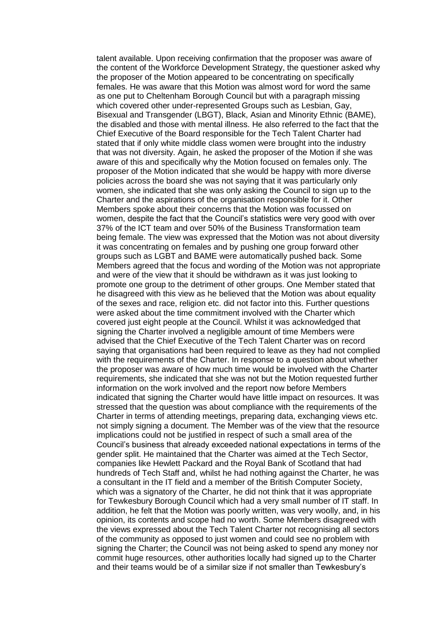talent available. Upon receiving confirmation that the proposer was aware of the content of the Workforce Development Strategy, the questioner asked why the proposer of the Motion appeared to be concentrating on specifically females. He was aware that this Motion was almost word for word the same as one put to Cheltenham Borough Council but with a paragraph missing which covered other under-represented Groups such as Lesbian, Gay, Bisexual and Transgender (LBGT), Black, Asian and Minority Ethnic (BAME), the disabled and those with mental illness. He also referred to the fact that the Chief Executive of the Board responsible for the Tech Talent Charter had stated that if only white middle class women were brought into the industry that was not diversity. Again, he asked the proposer of the Motion if she was aware of this and specifically why the Motion focused on females only. The proposer of the Motion indicated that she would be happy with more diverse policies across the board she was not saying that it was particularly only women, she indicated that she was only asking the Council to sign up to the Charter and the aspirations of the organisation responsible for it. Other Members spoke about their concerns that the Motion was focussed on women, despite the fact that the Council's statistics were very good with over 37% of the ICT team and over 50% of the Business Transformation team being female. The view was expressed that the Motion was not about diversity it was concentrating on females and by pushing one group forward other groups such as LGBT and BAME were automatically pushed back. Some Members agreed that the focus and wording of the Motion was not appropriate and were of the view that it should be withdrawn as it was just looking to promote one group to the detriment of other groups. One Member stated that he disagreed with this view as he believed that the Motion was about equality of the sexes and race, religion etc. did not factor into this. Further questions were asked about the time commitment involved with the Charter which covered just eight people at the Council. Whilst it was acknowledged that signing the Charter involved a negligible amount of time Members were advised that the Chief Executive of the Tech Talent Charter was on record saying that organisations had been required to leave as they had not complied with the requirements of the Charter. In response to a question about whether the proposer was aware of how much time would be involved with the Charter requirements, she indicated that she was not but the Motion requested further information on the work involved and the report now before Members indicated that signing the Charter would have little impact on resources. It was stressed that the question was about compliance with the requirements of the Charter in terms of attending meetings, preparing data, exchanging views etc. not simply signing a document. The Member was of the view that the resource implications could not be justified in respect of such a small area of the Council's business that already exceeded national expectations in terms of the gender split. He maintained that the Charter was aimed at the Tech Sector, companies like Hewlett Packard and the Royal Bank of Scotland that had hundreds of Tech Staff and, whilst he had nothing against the Charter, he was a consultant in the IT field and a member of the British Computer Society, which was a signatory of the Charter, he did not think that it was appropriate for Tewkesbury Borough Council which had a very small number of IT staff. In addition, he felt that the Motion was poorly written, was very woolly, and, in his opinion, its contents and scope had no worth. Some Members disagreed with the views expressed about the Tech Talent Charter not recognising all sectors of the community as opposed to just women and could see no problem with signing the Charter; the Council was not being asked to spend any money nor commit huge resources, other authorities locally had signed up to the Charter and their teams would be of a similar size if not smaller than Tewkesbury's